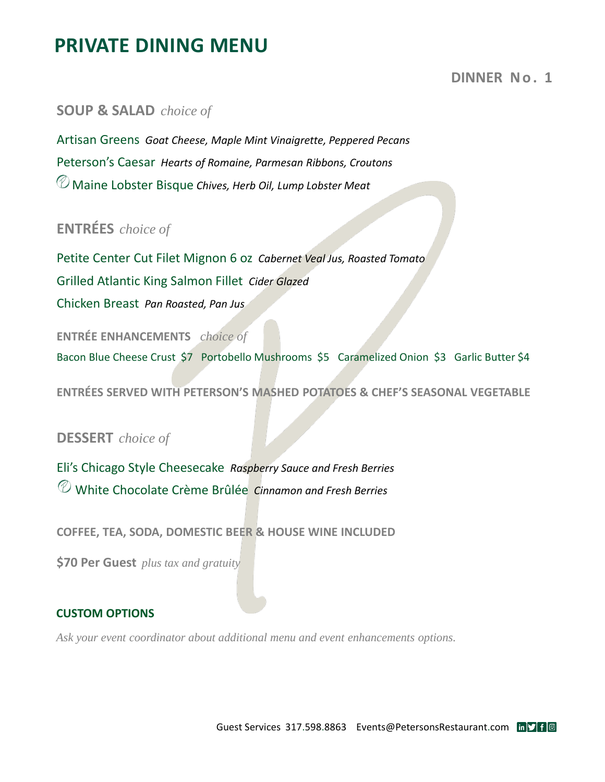# **PRIVATE DINING MENU**

## **DINNER No. 1**

### **SOUP & SALAD** *choice of*

Artisan Greens *Goat Cheese, Maple Mint Vinaigrette, Peppered Pecans* Peterson's Caesar *Hearts of Romaine, Parmesan Ribbons, Croutons* Maine Lobster Bisque *Chives, Herb Oil, Lump Lobster Meat*

# **ENTRÉES** *choice of*

Petite Center Cut Filet Mignon 6 oz *Cabernet Veal Jus, Roasted Tomato* Grilled Atlantic King Salmon Fillet *Cider Glazed* Chicken Breast *Pan Roasted, Pan Jus*

**ENTRÉE ENHANCEMENTS** *choice of*  Bacon Blue Cheese Crust \$7 Portobello Mushrooms \$5 Caramelized Onion \$3 Garlic Butter \$4

**ENTRÉES SERVED WITH PETERSON'S MASHED POTATOES & CHEF'S SEASONAL VEGETABLE**

## **DESSERT** *choice of*

Eli's Chicago Style Cheesecake *Raspberry Sauce and Fresh Berries* White Chocolate Crème Brûlée *Cinnamon and Fresh Berries*

**COFFEE, TEA, SODA, DOMESTIC BEER & HOUSE WINE INCLUDED**

**\$70 Per Guest** *plus tax and gratuity*

#### **CUSTOM OPTIONS**

*Ask your event coordinator about additional menu and event enhancements options.*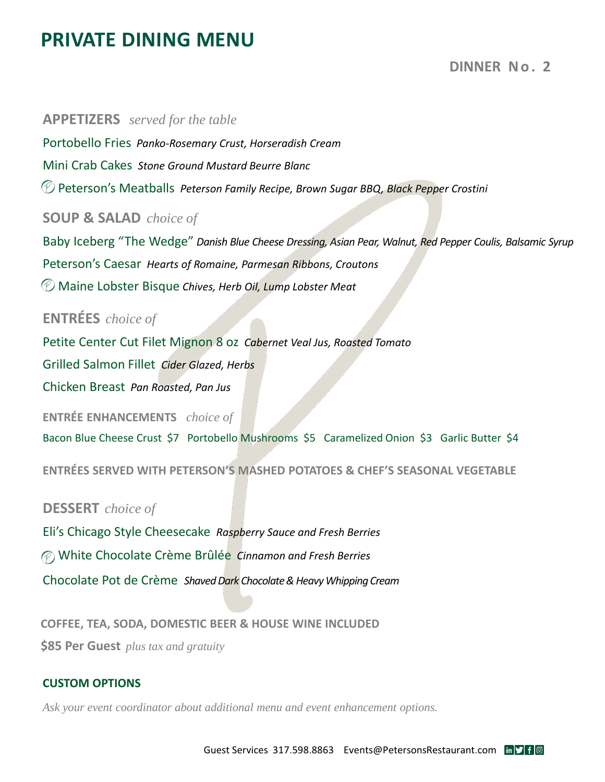# **PRIVATE DINING MENU**

## **DINNER No. 2**

**APPETIZERS** *served for the table* Portobello Fries *Panko-Rosemary Crust, Horseradish Cream*  Mini Crab Cakes *Stone Ground Mustard Beurre Blanc* Peterson's Meatballs *Peterson Family Recipe, Brown Sugar BBQ, Black Pepper Crostini* **SOUP & SALAD** *choice of* Baby Iceberg "The Wedge" *Danish Blue Cheese Dressing, Asian Pear, Walnut, Red Pepper Coulis, Balsamic Syrup* Peterson's Caesar *Hearts of Romaine, Parmesan Ribbons, Croutons* Maine Lobster Bisque *Chives, Herb Oil, Lump Lobster Meat* **ENTRÉES** *choice of* Petite Center Cut Filet Mignon 8 oz *Cabernet Veal Jus, Roasted Tomato*  Grilled Salmon Fillet *Cider Glazed, Herbs* Chicken Breast *Pan Roasted, Pan Jus* **ENTRÉE ENHANCEMENTS** *choice of*  Bacon Blue Cheese Crust \$7 Portobello Mushrooms \$5 Caramelized Onion \$3 Garlic Butter \$4 **ENTRÉES SERVED WITH PETERSON'S MASHED POTATOES & CHEF'S SEASONAL VEGETABLE DESSERT** *choice of*

Eli's Chicago Style Cheesecake *Raspberry Sauce and Fresh Berries* White Chocolate Crème Brûlée *Cinnamon and Fresh Berries* Chocolate Pot de Crème *Shaved Dark Chocolate & Heavy Whipping Cream*

**COFFEE, TEA, SODA, DOMESTIC BEER & HOUSE WINE INCLUDED \$85 Per Guest** *plus tax and gratuity*

#### **CUSTOM OPTIONS**

*Ask your event coordinator about additional menu and event enhancement options.*